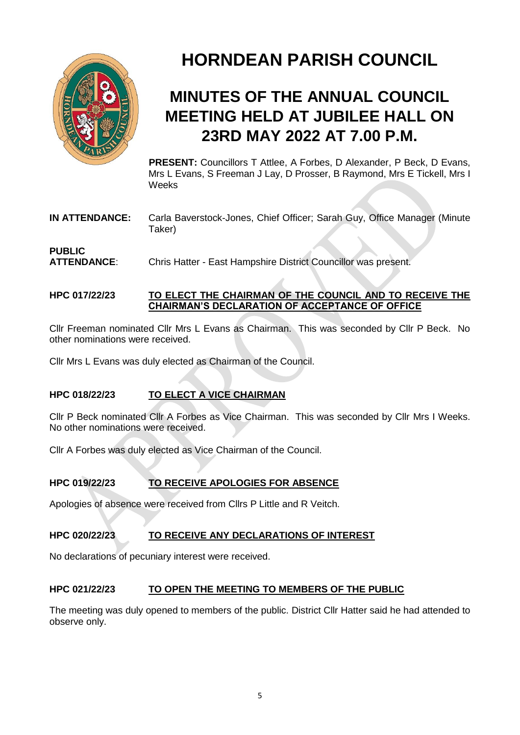

# **HORNDEAN PARISH COUNCIL**

## **MINUTES OF THE ANNUAL COUNCIL MEETING HELD AT JUBILEE HALL ON 23RD MAY 2022 AT 7.00 P.M.**

**PRESENT:** Councillors T Attlee, A Forbes, D Alexander, P Beck, D Evans, Mrs L Evans, S Freeman J Lay, D Prosser, B Raymond, Mrs E Tickell, Mrs I Weeks

**IN ATTENDANCE:** Carla Baverstock-Jones, Chief Officer; Sarah Guy, Office Manager (Minute Taker)

## **PUBLIC ATTENDANCE**: Chris Hatter - East Hampshire District Councillor was present.

#### **HPC 017/22/23 TO ELECT THE CHAIRMAN OF THE COUNCIL AND TO RECEIVE THE CHAIRMAN'S DECLARATION OF ACCEPTANCE OF OFFICE**

Cllr Freeman nominated Cllr Mrs L Evans as Chairman. This was seconded by Cllr P Beck. No other nominations were received.

Cllr Mrs L Evans was duly elected as Chairman of the Council.

## **HPC 018/22/23 TO ELECT A VICE CHAIRMAN**

Cllr P Beck nominated Cllr A Forbes as Vice Chairman. This was seconded by Cllr Mrs I Weeks. No other nominations were received.

Cllr A Forbes was duly elected as Vice Chairman of the Council.

#### **HPC 019/22/23 TO RECEIVE APOLOGIES FOR ABSENCE**

Apologies of absence were received from Cllrs P Little and R Veitch.

#### **HPC 020/22/23 TO RECEIVE ANY DECLARATIONS OF INTEREST**

No declarations of pecuniary interest were received.

#### **HPC 021/22/23 TO OPEN THE MEETING TO MEMBERS OF THE PUBLIC**

The meeting was duly opened to members of the public. District Cllr Hatter said he had attended to observe only.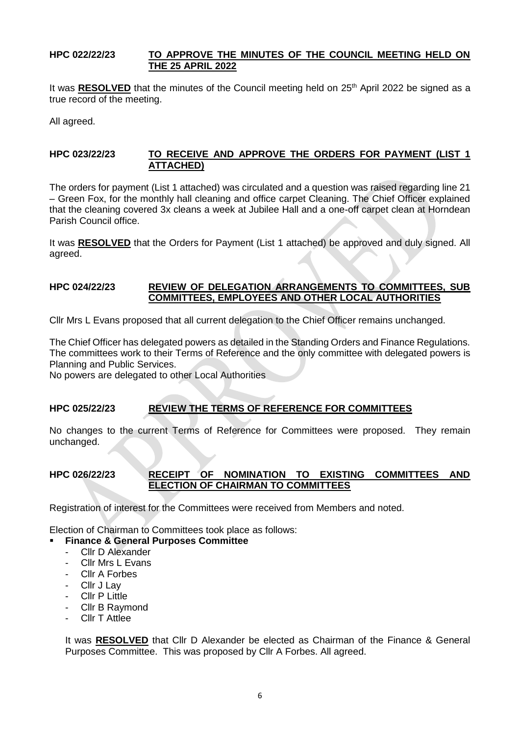#### **HPC 022/22/23 TO APPROVE THE MINUTES OF THE COUNCIL MEETING HELD ON THE 25 APRIL 2022**

It was **RESOLVED** that the minutes of the Council meeting held on 25<sup>th</sup> April 2022 be signed as a true record of the meeting.

All agreed.

#### **HPC 023/22/23 TO RECEIVE AND APPROVE THE ORDERS FOR PAYMENT (LIST 1 ATTACHED)**

The orders for payment (List 1 attached) was circulated and a question was raised regarding line 21 – Green Fox, for the monthly hall cleaning and office carpet Cleaning. The Chief Officer explained that the cleaning covered 3x cleans a week at Jubilee Hall and a one-off carpet clean at Horndean Parish Council office.

It was **RESOLVED** that the Orders for Payment (List 1 attached) be approved and duly signed. All agreed.

#### **HPC 024/22/23 REVIEW OF DELEGATION ARRANGEMENTS TO COMMITTEES, SUB COMMITTEES, EMPLOYEES AND OTHER LOCAL AUTHORITIES**

Cllr Mrs L Evans proposed that all current delegation to the Chief Officer remains unchanged.

The Chief Officer has delegated powers as detailed in the Standing Orders and Finance Regulations. The committees work to their Terms of Reference and the only committee with delegated powers is Planning and Public Services.

No powers are delegated to other Local Authorities

#### **HPC 025/22/23 REVIEW THE TERMS OF REFERENCE FOR COMMITTEES**

No changes to the current Terms of Reference for Committees were proposed. They remain unchanged.

#### **HPC 026/22/23 RECEIPT OF NOMINATION TO EXISTING COMMITTEES AND ELECTION OF CHAIRMAN TO COMMITTEES**

Registration of interest for the Committees were received from Members and noted.

Election of Chairman to Committees took place as follows:

- **Finance & General Purposes Committee**
	- Cllr D Alexander
	- Cllr Mrs L Evans
	- Cllr A Forbes
	- Cllr J Lav
	- **Cllr P Little**
	- Cllr B Raymond
	- Cllr T Attlee

It was **RESOLVED** that Cllr D Alexander be elected as Chairman of the Finance & General Purposes Committee. This was proposed by Cllr A Forbes. All agreed.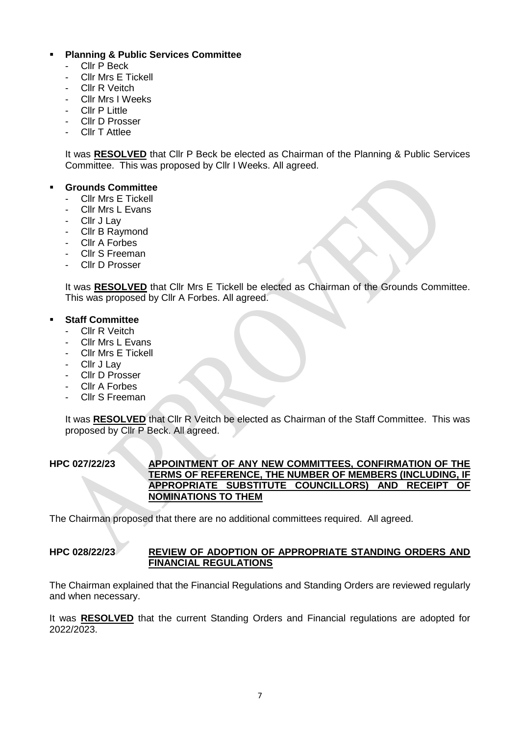#### **Planning & Public Services Committee**

- Cllr P Beck
- Cllr Mrs E Tickell
- **Cllr R Veitch**
- Cllr Mrs I Weeks
- **Cllr P Little**
- Cllr D Prosser
- Cllr T Attlee

It was **RESOLVED** that Cllr P Beck be elected as Chairman of the Planning & Public Services Committee. This was proposed by Cllr I Weeks. All agreed.

#### **Grounds Committee**

- Cllr Mrs E Tickell
- Cllr Mrs L Evans
- Cllr J Lav
- Cllr B Raymond
- Cllr A Forbes
- Cllr S Freeman
- Cllr D Prosser

It was **RESOLVED** that Cllr Mrs E Tickell be elected as Chairman of the Grounds Committee. This was proposed by Cllr A Forbes. All agreed.

#### **Staff Committee**

- Cllr R Veitch
- Cllr Mrs L Evans
- Cllr Mrs F Tickell
- Cllr J Lav
- Cllr D Prosser
- Cllr A Forbes
- Cllr S Freeman

It was **RESOLVED** that Cllr R Veitch be elected as Chairman of the Staff Committee. This was proposed by Cllr P Beck. All agreed.

#### **HPC 027/22/23 APPOINTMENT OF ANY NEW COMMITTEES, CONFIRMATION OF THE TERMS OF REFERENCE, THE NUMBER OF MEMBERS (INCLUDING, IF APPROPRIATE SUBSTITUTE COUNCILLORS) AND RECEIPT OF NOMINATIONS TO THEM**

The Chairman proposed that there are no additional committees required. All agreed.

#### **HPC 028/22/23 REVIEW OF ADOPTION OF APPROPRIATE STANDING ORDERS AND FINANCIAL REGULATIONS**

The Chairman explained that the Financial Regulations and Standing Orders are reviewed regularly and when necessary.

It was **RESOLVED** that the current Standing Orders and Financial regulations are adopted for 2022/2023.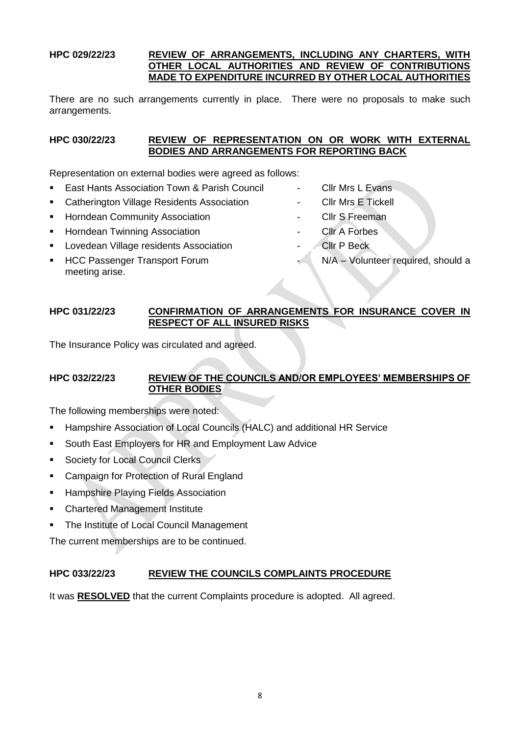#### **HPC 029/22/23 REVIEW OF ARRANGEMENTS, INCLUDING ANY CHARTERS, WITH OTHER LOCAL AUTHORITIES AND REVIEW OF CONTRIBUTIONS MADE TO EXPENDITURE INCURRED BY OTHER LOCAL AUTHORITIES**

There are no such arrangements currently in place. There were no proposals to make such arrangements.

#### **HPC 030/22/23 REVIEW OF REPRESENTATION ON OR WORK WITH EXTERNAL BODIES AND ARRANGEMENTS FOR REPORTING BACK**

Representation on external bodies were agreed as follows:

- East Hants Association Town & Parish Council Cllr Mrs L Evans
- Catherington Village Residents Association **Face Clarent Cllr Mrs E** Tickell
- **EXECUTE:** Horndean Community Association **Fig. 2016** Cllr S Freeman
- **Horndean Twinning Association Cli Cli A** Forbes
- **EXECUTE:** Lovedean Village residents Association **Fig. 2** Cllr P Beck
- meeting arise.
- 
- 
- 
- 
- 
- HCC Passenger Transport Forum  $N/A V$ olunteer required, should a

#### **HPC 031/22/23 CONFIRMATION OF ARRANGEMENTS FOR INSURANCE COVER IN RESPECT OF ALL INSURED RISKS**

The Insurance Policy was circulated and agreed.

#### **HPC 032/22/23 REVIEW OF THE COUNCILS AND/OR EMPLOYEES' MEMBERSHIPS OF OTHER BODIES**

The following memberships were noted:

- Hampshire Association of Local Councils (HALC) and additional HR Service
- South East Employers for HR and Employment Law Advice
- **Society for Local Council Clerks**
- **EXEC** Campaign for Protection of Rural England
- **Hampshire Playing Fields Association**
- Chartered Management Institute
- The Institute of Local Council Management

The current memberships are to be continued.

#### **HPC 033/22/23 REVIEW THE COUNCILS COMPLAINTS PROCEDURE**

It was **RESOLVED** that the current Complaints procedure is adopted. All agreed.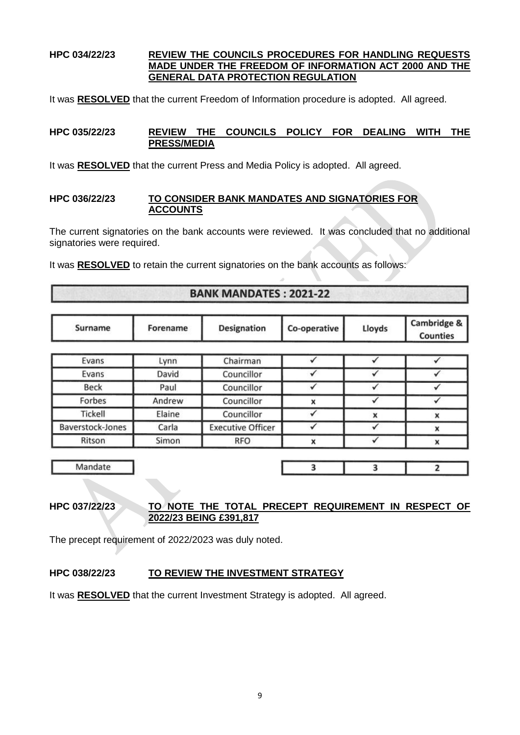#### **HPC 034/22/23 REVIEW THE COUNCILS PROCEDURES FOR HANDLING REQUESTS MADE UNDER THE FREEDOM OF INFORMATION ACT 2000 AND THE GENERAL DATA PROTECTION REGULATION**

It was **RESOLVED** that the current Freedom of Information procedure is adopted. All agreed.

#### **HPC 035/22/23 REVIEW THE COUNCILS POLICY FOR DEALING WITH THE PRESS/MEDIA**

It was **RESOLVED** that the current Press and Media Policy is adopted. All agreed.

#### **HPC 036/22/23 TO CONSIDER BANK MANDATES AND SIGNATORIES FOR ACCOUNTS**

The current signatories on the bank accounts were reviewed. It was concluded that no additional signatories were required.

It was **RESOLVED** to retain the current signatories on the bank accounts as follows:

### **BANK MANDATES: 2021-22**

| Surname          | Forename | <b>Designation</b>       | Co-operative | Lloyds | Cambridge &<br><b>Counties</b> |
|------------------|----------|--------------------------|--------------|--------|--------------------------------|
| Evans            | Lynn     | Chairman                 |              |        |                                |
| Evans            | David    | Councillor               |              |        |                                |
| <b>Beck</b>      | Paul     | Councillor               |              |        |                                |
| Forbes           | Andrew   | Councillor               | x            |        |                                |
| Tickell          | Elaine   | Councillor               |              | x      | $\boldsymbol{x}$               |
| Baverstock-Jones | Carla    | <b>Executive Officer</b> |              |        | X                              |
| Ritson           | Simon    | <b>RFO</b>               | x            |        | X                              |

Mandate

3 3  $\overline{2}$ 

#### **HPC 037/22/23 TO NOTE THE TOTAL PRECEPT REQUIREMENT IN RESPECT OF 2022/23 BEING £391,817**

The precept requirement of 2022/2023 was duly noted.

#### **HPC 038/22/23 TO REVIEW THE INVESTMENT STRATEGY**

It was **RESOLVED** that the current Investment Strategy is adopted. All agreed.